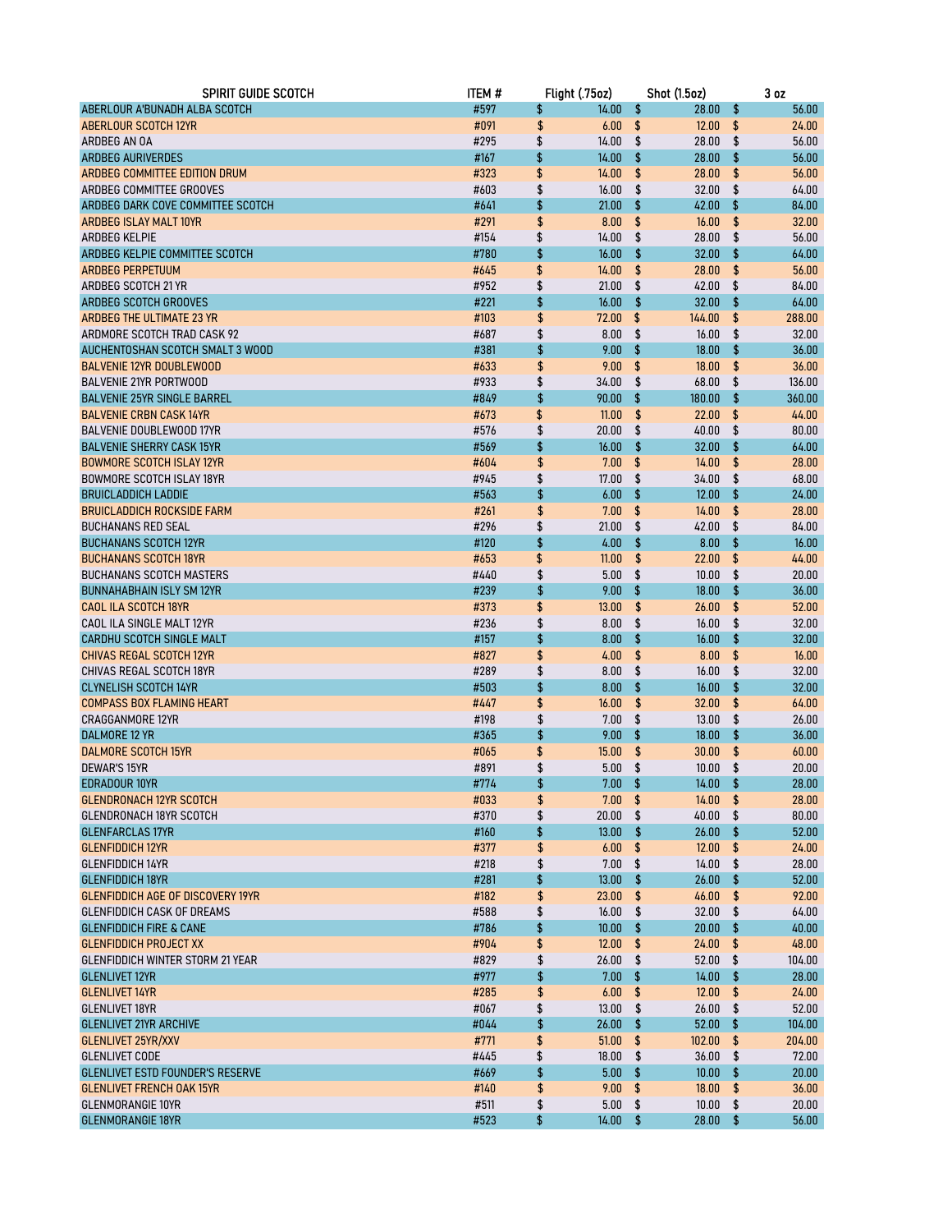| <b>SPIRIT GUIDE SCOTCH</b>               | <b>ITEM#</b> | Flight (.75oz)  |            | <b>Shot (1.5oz)</b> |     | 3 <sub>oz</sub> |
|------------------------------------------|--------------|-----------------|------------|---------------------|-----|-----------------|
| ABERLOUR A'BUNADH ALBA SCOTCH            | #597         | \$<br>14.00     | $\pmb{\$}$ | 28.00               | \$  | 56.00           |
| <b>ABERLOUR SCOTCH 12YR</b>              | #091         | \$<br>6.00      | \$         | 12.00               | \$  | 24.00           |
| ARDBEG AN OA                             | #295         | \$<br>14.00     | \$         | 28.00               | \$  | 56.00           |
| <b>ARDBEG AURIVERDES</b>                 | #167         | \$<br>14.00     | \$         | 28.00               | \$  | 56.00           |
| ARDBEG COMMITTEE EDITION DRUM            | #323         | \$<br>14.00     | \$         | 28.00               | \$  | 56.00           |
| ARDBEG COMMITTEE GROOVES                 | #603         | \$<br>16.00     | \$         | 32.00               | \$  | 64.00           |
| ARDBEG DARK COVE COMMITTEE SCOTCH        | #641         | \$<br>21.00     | \$         | 42.00               | \$  | 84.00           |
| <b>ARDBEG ISLAY MALT 10YR</b>            | #291         | \$<br>8.00      | \$         | 16.00               | \$  | 32.00           |
| <b>ARDBEG KELPIE</b>                     | #154         | \$<br>14.00     | \$         | 28.00               | \$  | 56.00           |
| ARDBEG KELPIE COMMITTEE SCOTCH           | #780         | \$<br>16.00     | \$         | 32.00               | \$  | 64.00           |
| <b>ARDBEG PERPETUUM</b>                  | #645         | \$<br>14.00     | \$         | 28.00               | \$  | 56.00           |
| ARDBEG SCOTCH 21 YR                      | #952         | \$<br>21.00     | \$         | 42.00               | \$  | 84.00           |
| ARDBEG SCOTCH GROOVES                    | #221         | \$<br>16.00     | \$         | 32.00               | \$  | 64.00           |
| ARDBEG THE ULTIMATE 23 YR                | #103         | \$<br>72.00     | \$         | 144.00              | \$  | 288.00          |
| ARDMORE SCOTCH TRAD CASK 92              | #687         | \$<br>8.00      | \$         | 16.00               | \$  | 32.00           |
| AUCHENTOSHAN SCOTCH SMALT 3 WOOD         | #381         | \$<br>9.00      | \$         | 18.00               | \$  | 36.00           |
| <b>BALVENIE 12YR DOUBLEWOOD</b>          | #633         | \$<br>9.00      | \$         | 18.00               | \$  | 36.00           |
| <b>BALVENIE 21YR PORTWOOD</b>            | #933         | \$<br>34.00     | \$         | 68.00               | \$  | 136.00          |
| <b>BALVENIE 25YR SINGLE BARREL</b>       | #849         | \$<br>90.00     | \$         | 180.00              | \$  | 360.00          |
| <b>BALVENIE CRBN CASK 14YR</b>           | #673         | \$<br>11.00     | \$         | 22.00               | \$  | 44.00           |
| <b>BALVENIE DOUBLEWOOD 17YR</b>          | #576         | \$<br>20.00     | \$         | 40.00               | \$  | 80.00           |
| <b>BALVENIE SHERRY CASK 15YR</b>         | #569         | \$<br>16.00     | \$         | 32.00               | \$  | 64.00           |
| <b>BOWMORE SCOTCH ISLAY 12YR</b>         | #604         | \$<br>7.00      | \$         | 14.00               | \$  | 28.00           |
| <b>BOWMORE SCOTCH ISLAY 18YR</b>         | #945         | \$<br>17.00     | \$         | 34.00               | \$  | 68.00           |
| <b>BRUICLADDICH LADDIE</b>               | #563         | \$<br>6.00      | \$         | 12.00               | \$  | 24.00           |
| <b>BRUICLADDICH ROCKSIDE FARM</b>        | #261         | \$<br>7.00      | \$         | 14.00               | \$  | 28.00           |
| <b>BUCHANANS RED SEAL</b>                | #296         | \$<br>21.00     | \$         | 42.00               | \$  | 84.00           |
| <b>BUCHANANS SCOTCH 12YR</b>             | #120         | \$<br>4.00      | \$         | 8.00                | \$  | 16.00           |
| <b>BUCHANANS SCOTCH 18YR</b>             | #653         | \$<br>11.00     | \$         | 22.00               | \$  | 44.00           |
| <b>BUCHANANS SCOTCH MASTERS</b>          | #440         | \$<br>5.00      | \$         | 10.00               | \$  | 20.00           |
| <b>BUNNAHABHAIN ISLY SM 12YR</b>         | #239         | \$<br>9.00      | \$         | 18.00               | \$  | 36.00           |
| <b>CAOL ILA SCOTCH 18YR</b>              | #373         | \$<br>13.00     | \$         | 26.00               | \$  | 52.00           |
| CAOL ILA SINGLE MALT 12YR                | #236         | \$<br>8.00      | \$         | 16.00               | \$  | 32.00           |
| CARDHU SCOTCH SINGLE MALT                | #157         | \$<br>8.00      | \$         | 16.00               | \$  | 32.00           |
| <b>CHIVAS REGAL SCOTCH 12YR</b>          | #827         | \$<br>4.00      | \$         | 8.00                | \$  | 16.00           |
| CHIVAS REGAL SCOTCH 18YR                 | #289         | \$<br>8.00      | \$         | 16.00               | \$  | 32.00           |
| <b>CLYNELISH SCOTCH 14YR</b>             | #503         | \$<br>8.00      | \$         | 16.00               | \$  | 32.00           |
| <b>COMPASS BOX FLAMING HEART</b>         | #447         | \$<br>16.00     | \$         | 32.00               | \$  | 64.00           |
| CRAGGANMORE 12YR                         | #198         | \$<br>7.00      | \$         | 13.00               | \$  | 26.00           |
| <b>DALMORE 12 YR</b>                     | #365         | \$<br>9.00      | \$         | 18.00               | \$  | 36.00           |
| <b>DALMORE SCOTCH 15YR</b>               | #065         | \$<br>15.00     | \$         | 30.00               | \$  | 60.00           |
| DEWAR'S 15YR                             | #891         | \$<br>5.00      | \$         | 10.00               | \$  | 20.00           |
| EDRADOUR 10YR                            | #774         | \$<br>$7.00$ \$ |            | 14.00               | \$  | 28.00           |
| <b>GLENDRONACH 12YR SCOTCH</b>           | #033         | \$<br>7.00      | \$         | 14.00               | \$  | 28.00           |
| <b>GLENDRONACH 18YR SCOTCH</b>           | #370         | \$<br>20.00     | \$         | 40.00               | \$  | 80.00           |
| <b>GLENFARCLAS 17YR</b>                  | #160         | \$<br>13.00     | \$         | 26.00               | \$  | 52.00           |
| <b>GLENFIDDICH 12YR</b>                  | #377         | \$<br>6.00      | \$         | 12.00               | \$  | 24.00           |
| <b>GLENFIDDICH 14YR</b>                  | #218         | \$<br>7.00      | \$         | 14.00               | \$  | 28.00           |
| <b>GLENFIDDICH 18YR</b>                  | #281         | \$<br>13.00     | \$         | 26.00               | \$  | 52.00           |
| <b>GLENFIDDICH AGE OF DISCOVERY 19YR</b> | #182         | \$<br>23.00     | \$         | 46.00               | \$  | 92.00           |
| <b>GLENFIDDICH CASK OF DREAMS</b>        | #588         | \$<br>16.00     | \$         | 32.00               | \$  | 64.00           |
| <b>GLENFIDDICH FIRE &amp; CANE</b>       | #786         | \$<br>10.00     | \$         | 20.00               | \$  | 40.00           |
| <b>GLENFIDDICH PROJECT XX</b>            | #904         | \$<br>12.00     | \$         | 24.00               | \$  | 48.00           |
| <b>GLENFIDDICH WINTER STORM 21 YEAR</b>  | #829         | \$<br>26.00     | \$         | 52.00               | \$  | 104.00          |
| <b>GLENLIVET 12YR</b>                    | #977         | \$<br>7.00      | \$         | 14.00               | \$  | 28.00           |
| <b>GLENLIVET 14YR</b>                    | #285         | \$<br>6.00      | \$         | 12.00               | \$  | 24.00           |
| <b>GLENLIVET 18YR</b>                    | #067         | \$<br>13.00     | \$         | 26.00               | \$  | 52.00           |
| <b>GLENLIVET 21YR ARCHIVE</b>            | #044         | \$<br>26.00     | \$         | 52.00               | \$  | 104.00          |
| GLENLIVET 25YR/XXV                       | #771         | \$<br>51.00     | \$         | 102.00              | \$  | 204.00          |
| <b>GLENLIVET CODE</b>                    | #445         | \$<br>18.00     | \$         | 36.00               | \$  | 72.00           |
| <b>GLENLIVET ESTD FOUNDER'S RESERVE</b>  | #669         | \$<br>5.00      | \$         | 10.00               | \$  | 20.00           |
| <b>GLENLIVET FRENCH OAK 15YR</b>         | #140         | \$<br>9.00      | \$         | 18.00               | \$  | 36.00           |
| <b>GLENMORANGIE 10YR</b>                 | #511         | \$<br>5.00      | \$         | 10.00               | \$  | 20.00           |
| <b>GLENMORANGIE 18YR</b>                 | #523         | \$<br>14.00     | - \$       | 28.00               | -\$ | 56.00           |
|                                          |              |                 |            |                     |     |                 |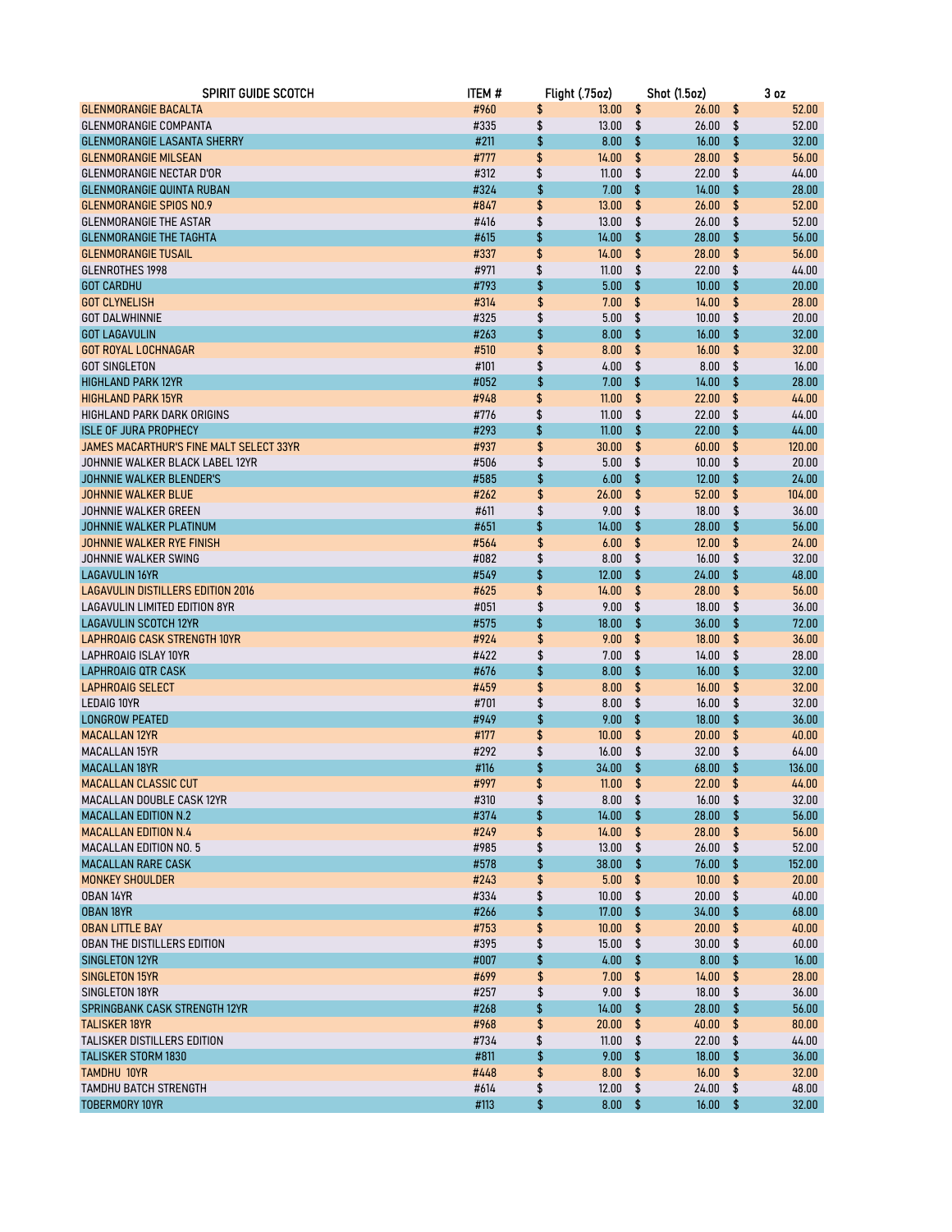| SPIRIT GUIDE SCOTCH                      | <b>ITEM#</b> | Flight (.75oz)   | <b>Shot (1.5oz)</b> | 3 <sub>oz</sub> |
|------------------------------------------|--------------|------------------|---------------------|-----------------|
| <b>GLENMORANGIE BACALTA</b>              | #960         | \$<br>13.00      | \$<br>26.00         | \$<br>52.00     |
| <b>GLENMORANGIE COMPANTA</b>             | #335         | \$<br>13.00      | \$<br>26.00         | \$<br>52.00     |
| <b>GLENMORANGIE LASANTA SHERRY</b>       | #211         | \$<br>8.00       | \$<br>16.00         | \$<br>32.00     |
| <b>GLENMORANGIE MILSEAN</b>              | #777         | \$<br>14.00      | \$<br>28.00         | \$<br>56.00     |
| GLENMORANGIE NECTAR D'OR                 | #312         | \$<br>11.00      | \$<br>22.00         | \$<br>44.00     |
| <b>GLENMORANGIE QUINTA RUBAN</b>         | #324         | \$<br>7.00       | \$<br>14.00         | \$<br>28.00     |
| <b>GLENMORANGIE SPIOS NO.9</b>           | #847         | \$<br>13.00      | \$<br>26.00         | \$<br>52.00     |
| <b>GLENMORANGIE THE ASTAR</b>            | #416         | \$<br>13.00      | \$<br>26.00         | \$<br>52.00     |
| <b>GLENMORANGIE THE TAGHTA</b>           | #615         | \$<br>14.00      | \$<br>28.00         | \$<br>56.00     |
| <b>GLENMORANGIE TUSAIL</b>               | #337         | \$<br>14.00      | \$<br>28.00         | \$<br>56.00     |
| <b>GLENROTHES 1998</b>                   | #971         | \$<br>11.00      | \$<br>22.00         | \$<br>44.00     |
| <b>GOT CARDHU</b>                        | #793         | \$<br>5.00       | \$<br>10.00         | \$<br>20.00     |
| <b>GOT CLYNELISH</b>                     | #314         | \$<br>7.00       | \$<br>14.00         | \$<br>28.00     |
| <b>GOT DALWHINNIE</b>                    | #325         | \$<br>5.00       | \$<br>10.00         | \$<br>20.00     |
| <b>GOT LAGAVULIN</b>                     | #263         | \$<br>8.00       | \$<br>16.00         | \$<br>32.00     |
| <b>GOT ROYAL LOCHNAGAR</b>               | #510         | \$<br>8.00       | \$<br>16.00         | \$<br>32.00     |
| <b>GOT SINGLETON</b>                     | #101         | \$<br>4.00       | \$<br>8.00          | \$<br>16.00     |
| <b>HIGHLAND PARK 12YR</b>                | #052         | \$<br>7.00       | \$<br>14.00         | \$<br>28.00     |
| <b>HIGHLAND PARK 15YR</b>                | #948         | \$<br>11.00      | \$<br>22.00         | \$<br>44.00     |
| HIGHLAND PARK DARK ORIGINS               | #776         | \$<br>11.00      | \$<br>22.00         | \$<br>44.00     |
| <b>ISLE OF JURA PROPHECY</b>             | #293         | \$<br>11.00      | \$<br>22.00         | \$<br>44.00     |
| JAMES MACARTHUR'S FINE MALT SELECT 33YR  | #937         | \$<br>30.00      | \$<br>60.00         | \$<br>120.00    |
| JOHNNIE WALKER BLACK LABEL 12YR          | #506         | \$<br>5.00       | \$<br>10.00         | \$<br>20.00     |
| JOHNNIE WALKER BLENDER'S                 | #585         | \$<br>6.00       | \$<br>12.00         | \$<br>24.00     |
| <b>JOHNNIE WALKER BLUE</b>               | #262         | \$<br>26.00      | \$<br>52.00         | \$<br>104.00    |
| JOHNNIE WALKER GREEN                     | #611         | \$<br>9.00       | \$<br>18.00         | \$<br>36.00     |
| JOHNNIE WALKER PLATINUM                  | #651         | \$<br>14.00      | \$<br>28.00         | \$<br>56.00     |
| JOHNNIE WALKER RYE FINISH                | #564         | \$<br>6.00       | \$<br>12.00         | \$<br>24.00     |
| JOHNNIE WALKER SWING                     | #082         | \$<br>8.00       | \$<br>16.00         | \$<br>32.00     |
| <b>LAGAVULIN 16YR</b>                    | #549         | \$<br>12.00      | \$<br>24.00         | \$<br>48.00     |
| <b>LAGAVULIN DISTILLERS EDITION 2016</b> | #625         | \$<br>14.00      | \$<br>28.00         | \$<br>56.00     |
| LAGAVULIN LIMITED EDITION 8YR            | #051         | \$<br>9.00       | \$<br>18.00         | \$<br>36.00     |
| <b>LAGAVULIN SCOTCH 12YR</b>             | #575         | \$<br>18.00      | \$<br>36.00         | \$<br>72.00     |
| <b>LAPHROAIG CASK STRENGTH 10YR</b>      | #924         | \$<br>9.00       | \$<br>18.00         | \$<br>36.00     |
| LAPHROAIG ISLAY 10YR                     | #422         | \$<br>7.00       | \$<br>14.00         | \$<br>28.00     |
| <b>LAPHROAIG QTR CASK</b>                | #676         | \$<br>8.00       | \$<br>16.00         | \$<br>32.00     |
| <b>LAPHROAIG SELECT</b>                  | #459         | \$<br>8.00       | \$<br>16.00         | \$<br>32.00     |
| <b>LEDAIG 10YR</b>                       | #701         | \$<br>8.00       | \$<br>16.00         | \$<br>32.00     |
| <b>LONGROW PEATED</b>                    | #949         | \$<br>9.00       | \$<br>18.00         | \$<br>36.00     |
| <b>MACALLAN 12YR</b>                     | #177         | \$<br>10.00      | \$<br>20.00         | \$<br>40.00     |
| <b>MACALLAN 15YR</b>                     | #292         | \$<br>16.00      | \$<br>32.00         | \$<br>64.00     |
| <b>MACALLAN 18YR</b>                     | #116         | \$<br>34.00      | \$<br>68.00         | \$<br>136.00    |
| <b>MACALLAN CLASSIC CUT</b>              | #997         | \$<br>$11.00$ \$ | $22.00$ \$          | 44.00           |
| MACALLAN DOUBLE CASK 12YR                | #310         | \$<br>8.00       | \$<br>16.00         | \$<br>32.00     |
| <b>MACALLAN EDITION N.2</b>              | #374         | \$<br>14.00      | \$<br>28.00         | \$<br>56.00     |
| <b>MACALLAN EDITION N.4</b>              | #249         | \$<br>14.00      | \$<br>28.00         | \$<br>56.00     |
| <b>MACALLAN EDITION NO. 5</b>            | #985         | \$<br>13.00      | \$<br>26.00         | \$<br>52.00     |
| <b>MACALLAN RARE CASK</b>                | #578         | \$<br>38.00      | \$<br>76.00         | \$<br>152.00    |
| <b>MONKEY SHOULDER</b>                   | #243         | \$<br>5.00       | \$<br>10.00         | \$<br>20.00     |
| OBAN 14YR                                | #334         | \$<br>10.00      | \$<br>20.00         | \$<br>40.00     |
| <b>OBAN 18YR</b>                         | #266         | \$<br>17.00      | \$<br>34.00         | \$<br>68.00     |
| <b>OBAN LITTLE BAY</b>                   | #753         | \$<br>10.00      | \$<br>20.00         | \$<br>40.00     |
| OBAN THE DISTILLERS EDITION              | #395         | \$<br>15.00      | \$<br>30.00         | \$<br>60.00     |
| SINGLETON 12YR                           | #007         | \$<br>4.00       | \$<br>8.00          | \$<br>16.00     |
| <b>SINGLETON 15YR</b>                    | #699         | \$<br>7.00       | \$<br>14.00         | \$<br>28.00     |
| SINGLETON 18YR                           | #257         | \$<br>9.00       | \$<br>18.00         | \$<br>36.00     |
| SPRINGBANK CASK STRENGTH 12YR            | #268         | \$<br>14.00      | \$<br>28.00         | \$<br>56.00     |
| <b>TALISKER 18YR</b>                     | #968         | \$<br>20.00      | \$<br>40.00         | \$<br>80.00     |
| TALISKER DISTILLERS EDITION              | #734         | \$<br>11.00      | \$<br>22.00         | \$<br>44.00     |
| TALISKER STORM 1830                      | #811         | \$<br>9.00       | \$<br>18.00         | \$<br>36.00     |
| <b>TAMDHU 10YR</b>                       | #448         | \$<br>8.00       | \$<br>16.00         | \$<br>32.00     |
| TAMDHU BATCH STRENGTH                    | #614         | \$<br>12.00      | \$<br>24.00         | \$<br>48.00     |
| <b>TOBERMORY 10YR</b>                    | #113         | \$<br>8.00       | \$<br>16.00         | \$<br>32.00     |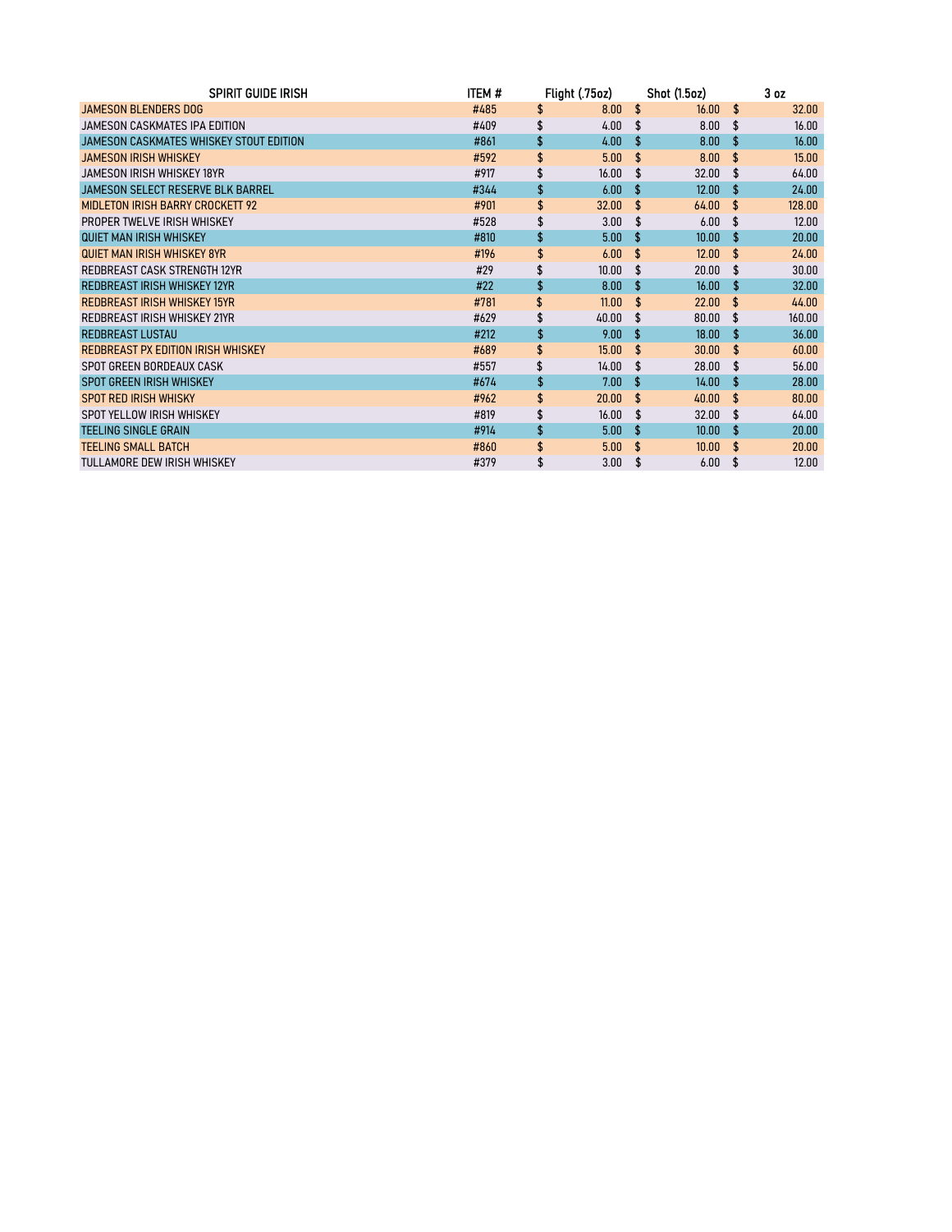| <b>SPIRIT GUIDE IRISH</b>                | ITEM # | Flight (.75oz)    |                    | <b>Shot (1.5oz)</b> |                    | 3 <sub>oz</sub> |
|------------------------------------------|--------|-------------------|--------------------|---------------------|--------------------|-----------------|
| JAMESON BLENDERS DOG                     | #485   | \$<br>8.00        | \$                 | 16.00               | \$                 | 32.00           |
| JAMESON CASKMATES IPA EDITION            | #409   | \$<br>4.00        | \$                 | 8.00                | \$                 | 16.00           |
| JAMESON CASKMATES WHISKEY STOUT EDITION  | #861   | \$<br>4.00        | \$                 | 8.00                | \$                 | 16.00           |
| <b>JAMESON IRISH WHISKEY</b>             | #592   | \$<br>5.00        | \$                 | 8.00                | \$.                | 15.00           |
| <b>JAMESON IRISH WHISKEY 18YR</b>        | #917   | 16.00             | S                  | 32.00               | \$.                | 64.00           |
| <b>JAMESON SELECT RESERVE BLK BARREL</b> | #344   | \$<br>6.00        | \$                 | 12.00               | \$                 | 24.00           |
| <b>MIDLETON IRISH BARRY CROCKETT 92</b>  | #901   | \$<br>32.00       | \$                 | 64.00               | $\mathbf{F}$       | 128.00          |
| PROPER TWELVE IRISH WHISKEY              | #528   | \$<br>3.00        | £.                 | 6.00                | \$.                | 12.00           |
| QUIET MAN IRISH WHISKEY                  | #810   | \$<br>5.00        | \$.                | 10.00               | -S                 | 20.00           |
| <b>QUIET MAN IRISH WHISKEY 8YR</b>       | #196   | \$<br>6.00        | \$                 | 12.00               | \$                 | 24.00           |
| REDBREAST CASK STRENGTH 12YR             | #29    | \$<br>10.00       | £.                 | 20.00               | £.                 | 30.00           |
| <b>REDBREAST IRISH WHISKEY 12YR</b>      | #22    | \$<br>8.00        | \$.                | 16.00               | \$.                | 32.00           |
| <b>REDBREAST IRISH WHISKEY 15YR</b>      | #781   | \$<br>11.00       | \$                 | 22.00               | \$                 | 44.00           |
| REDBREAST IRISH WHISKEY 21YR             | #629   | \$<br>40.00       | \$.                | 80.00               | S                  | 160.00          |
| <b>REDBREAST LUSTAU</b>                  | #212   | \$<br>9.00        | \$                 | 18.00               | \$                 | 36.00           |
| REDBREAST PX EDITION IRISH WHISKEY       | #689   | \$<br>15.00       | $\mathbf{\hat{f}}$ | 30.00               | $\mathbf{\hat{f}}$ | 60.00           |
| SPOT GREEN BORDEAUX CASK                 | #557   | \$<br>14.00       | £.                 | 28.00               | \$.                | 56.00           |
| <b>SPOT GREEN IRISH WHISKEY</b>          | #674   | \$<br>7.00        | S                  | 14.00               | £.                 | 28.00           |
| <b>SPOT RED IRISH WHISKY</b>             | #962   | \$<br>20.00       | $\mathbf{\hat{f}}$ | 40.00               | $\mathbf{\hat{f}}$ | 80.00           |
| SPOT YELLOW IRISH WHISKEY                | #819   | \$<br>16.00       | £.                 | 32.00               | \$                 | 64.00           |
| <b>TEELING SINGLE GRAIN</b>              | #914   | \$<br>5.00        | £.                 | 10.00               | £.                 | 20.00           |
| <b>TEELING SMALL BATCH</b>               | #860   | 5.00              | £.                 | 10.00               | $\mathbf{\hat{f}}$ | 20.00           |
| TULLAMORE DEW IRISH WHISKEY              | #379   | 3.00 <sub>1</sub> | \$.                | 6.00                | S                  | 12.00           |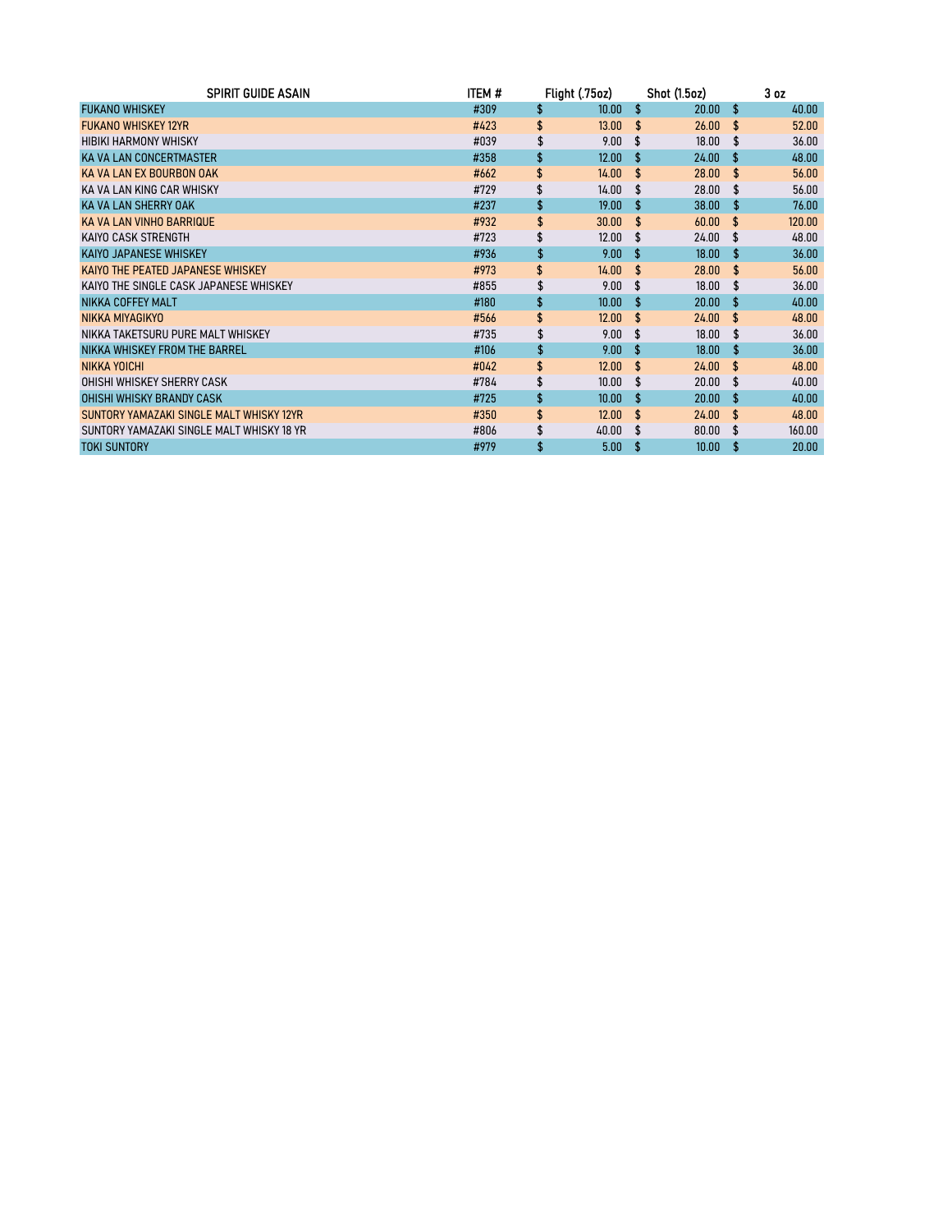| <b>SPIRIT GUIDE ASAIN</b>                 | ITEM # | Flight (.75oz) |                    | <b>Shot (1.5oz)</b> |                    | 3 <sub>oz</sub> |
|-------------------------------------------|--------|----------------|--------------------|---------------------|--------------------|-----------------|
| <b>FUKANO WHISKEY</b>                     | #309   | \$<br>10.00    | \$                 | 20.00               | \$                 | 40.00           |
| <b>FUKANO WHISKEY 12YR</b>                | #423   | \$<br>13.00    | \$.                | 26.00               | $\mathbf{\hat{f}}$ | 52.00           |
| <b>HIBIKI HARMONY WHISKY</b>              | #039   | 9.00           | S                  | 18.00               | \$.                | 36.00           |
| KA VA LAN CONCERTMASTER                   | #358   | \$<br>12.00    | \$                 | 24.00               | \$                 | 48.00           |
| KA VA LAN EX BOURBON OAK                  | #662   | \$<br>14.00    | \$                 | 28.00               | \$                 | 56.00           |
| KA VA LAN KING CAR WHISKY                 | #729   | 14.00          | -S                 | 28.00               | \$.                | 56.00           |
| KA VA LAN SHERRY OAK                      | #237   | \$<br>19.00    | \$                 | 38.00               | \$                 | 76.00           |
| KA VA LAN VINHO BARRIQUE                  | #932   | \$<br>30.00    | -S                 | 60.00               | $\mathbf{\hat{f}}$ | 120.00          |
| KAIYO CASK STRENGTH                       | #723   | \$<br>12.00    | \$.                | 24.00               | £.                 | 48.00           |
| KAIYO JAPANESE WHISKEY                    | #936   | \$<br>9.00     | \$                 | 18.00               | \$                 | 36.00           |
| KAIYO THE PEATED JAPANESE WHISKEY         | #973   | \$<br>14.00    | -\$                | 28.00               | \$                 | 56.00           |
| KAIYO THE SINGLE CASK JAPANESE WHISKEY    | #855   | \$<br>9.00     | £.                 | 18.00               | £.                 | 36.00           |
| NIKKA COFFEY MALT                         | #180   | \$<br>10.00    | -S                 | 20.00               | £.                 | 40.00           |
| NIKKA MIYAGIKYO                           | #566   | \$<br>12.00    | \$                 | 24.00               | \$                 | 48.00           |
| NIKKA TAKETSURU PURE MALT WHISKEY         | #735   | \$<br>9.00     | \$                 | 18.00               | \$                 | 36.00           |
| NIKKA WHISKEY FROM THE BARREL             | #106   | \$<br>9.00     | Ŝ.                 | 18.00               | £.                 | 36.00           |
| NIKKA YOICHI                              | #042   | \$<br>12.00    | \$                 | 24.00               | \$.                | 48.00           |
| OHISHI WHISKEY SHERRY CASK                | #784   | \$<br>10.00    | £.                 | 20.00               | S                  | 40.00           |
| OHISHI WHISKY BRANDY CASK                 | #725   | \$<br>10.00    | £.                 | 20.00               | \$.                | 40.00           |
| SUNTORY YAMAZAKI SINGLE MALT WHISKY 12YR  | #350   | \$<br>12.00    | $\mathbf{\hat{f}}$ | 24.00               | $\mathbf{\hat{f}}$ | 48.00           |
| SUNTORY YAMAZAKI SINGLE MALT WHISKY 18 YR | #806   | 40.00          | \$.                | 80.00               | \$.                | 160.00          |
| <b>TOKI SUNTORY</b>                       | #979   | 5.00           | S                  | 10.00               | S                  | 20.00           |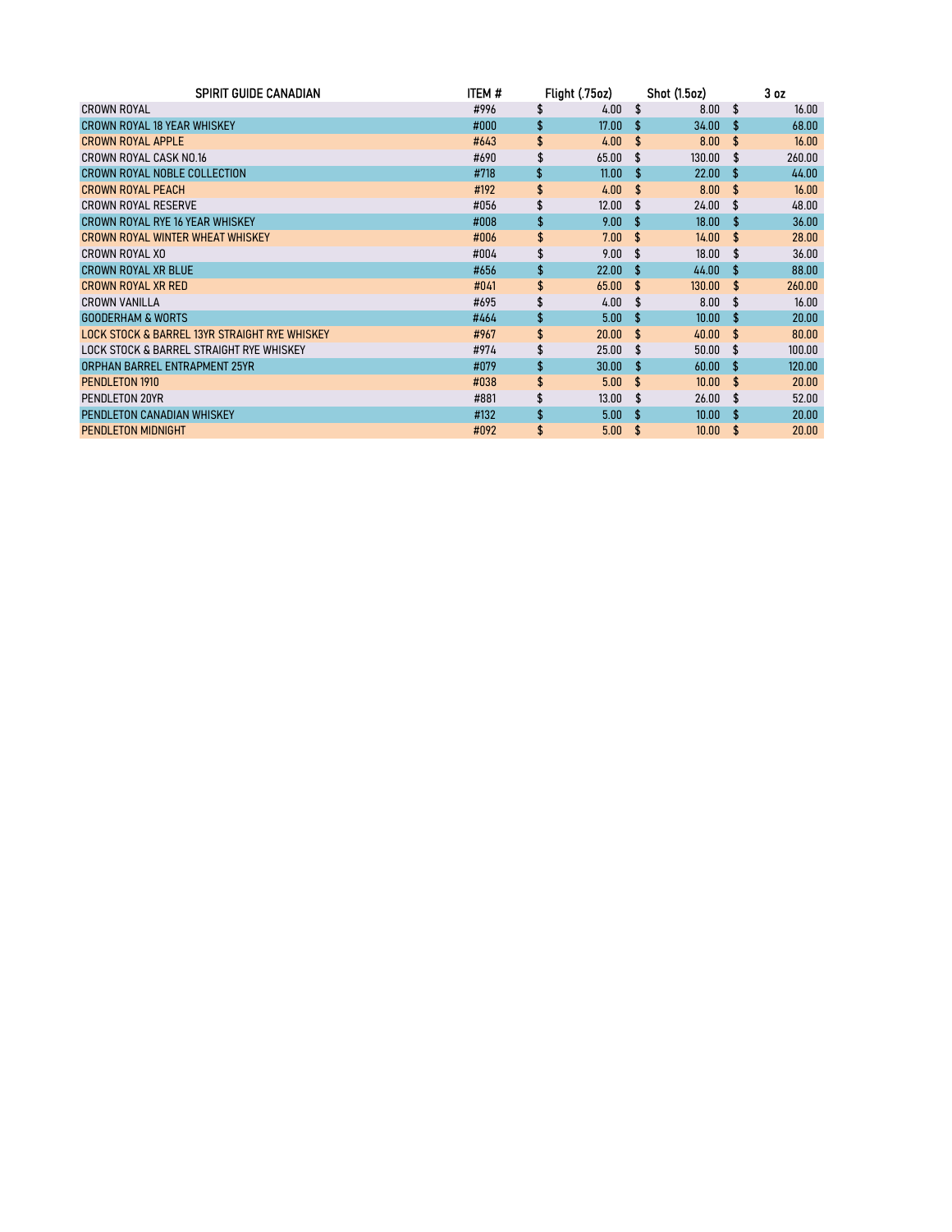| <b>SPIRIT GUIDE CANADIAN</b>                  | item # | Flight (.75oz) |                    | <b>Shot (1.5oz)</b> |                    | 3 <sub>oz</sub> |
|-----------------------------------------------|--------|----------------|--------------------|---------------------|--------------------|-----------------|
| <b>CROWN ROYAL</b>                            | #996   | \$<br>4.00     | \$                 | 8.00                | \$.                | 16.00           |
| <b>CROWN ROYAL 18 YEAR WHISKEY</b>            | #000   | \$<br>17.00    | \$                 | 34.00               | Ŝ                  | 68.00           |
| <b>CROWN ROYAL APPLE</b>                      | #643   | \$<br>4.00     | \$                 | 8.00                | \$                 | 16.00           |
| CROWN ROYAL CASK NO.16                        | #690   | 65.00          | £.                 | 130.00              | £.                 | 260.00          |
| CROWN ROYAL NOBLE COLLECTION                  | #718   | \$<br>11.00    | \$                 | 22.00               | \$.                | 44.00           |
| <b>CROWN ROYAL PEACH</b>                      | #192   | \$<br>4.00     | \$                 | 8.00                | \$                 | 16.00           |
| CROWN ROYAL RESERVE                           | #056   | \$<br>12.00    | \$.                | 24.00               | £.                 | 48.00           |
| CROWN ROYAL RYE 16 YEAR WHISKEY               | #008   | \$<br>9.00     | \$                 | 18.00               | £.                 | 36.00           |
| CROWN ROYAL WINTER WHEAT WHISKEY              | #006   | \$<br>7.00     | \$                 | 14.00               | \$                 | 28.00           |
| CROWN ROYAL XO                                | #004   | \$<br>9.00     | S                  | 18.00               | £.                 | 36.00           |
| CROWN ROYAL XR BLUE                           | #656   | \$<br>22.00    | \$.                | 44.00               | -S                 | 88.00           |
| CROWN ROYAL XR RED                            | #041   | \$<br>65.00    | \$                 | 130.00              | $\mathbf{\hat{f}}$ | 260.00          |
| <b>CROWN VANILLA</b>                          | #695   | \$<br>4.00     | \$.                | 8.00                | S                  | 16.00           |
| <b>GOODERHAM &amp; WORTS</b>                  | #464   | \$<br>5.00     | \$                 | 10.00               | £.                 | 20.00           |
| LOCK STOCK & BARREL 13YR STRAIGHT RYE WHISKEY | #967   | \$<br>20.00    | $\mathbf{\hat{f}}$ | 40.00               | \$.                | 80.00           |
| LOCK STOCK & BARREL STRAIGHT RYE WHISKEY      | #974   | \$<br>25.00    | \$                 | 50.00               | S                  | 100.00          |
| <b>ORPHAN BARREL ENTRAPMENT 25YR</b>          | #079   | \$<br>30.00    | £.                 | 60.00               | \$.                | 120.00          |
| PENDLETON 1910                                | #038   | \$<br>5.00     | \$                 | 10.00               | \$                 | 20.00           |
| PENDLETON 20YR                                | #881   | \$<br>13.00    | \$.                | 26.00               | \$                 | 52.00           |
| PENDLETON CANADIAN WHISKEY                    | #132   | \$<br>5.00     | -S                 | 10.00               | \$.                | 20.00           |
| <b>PENDLETON MIDNIGHT</b>                     | #092   | \$<br>5.00     | \$                 | 10.00               | \$                 | 20.00           |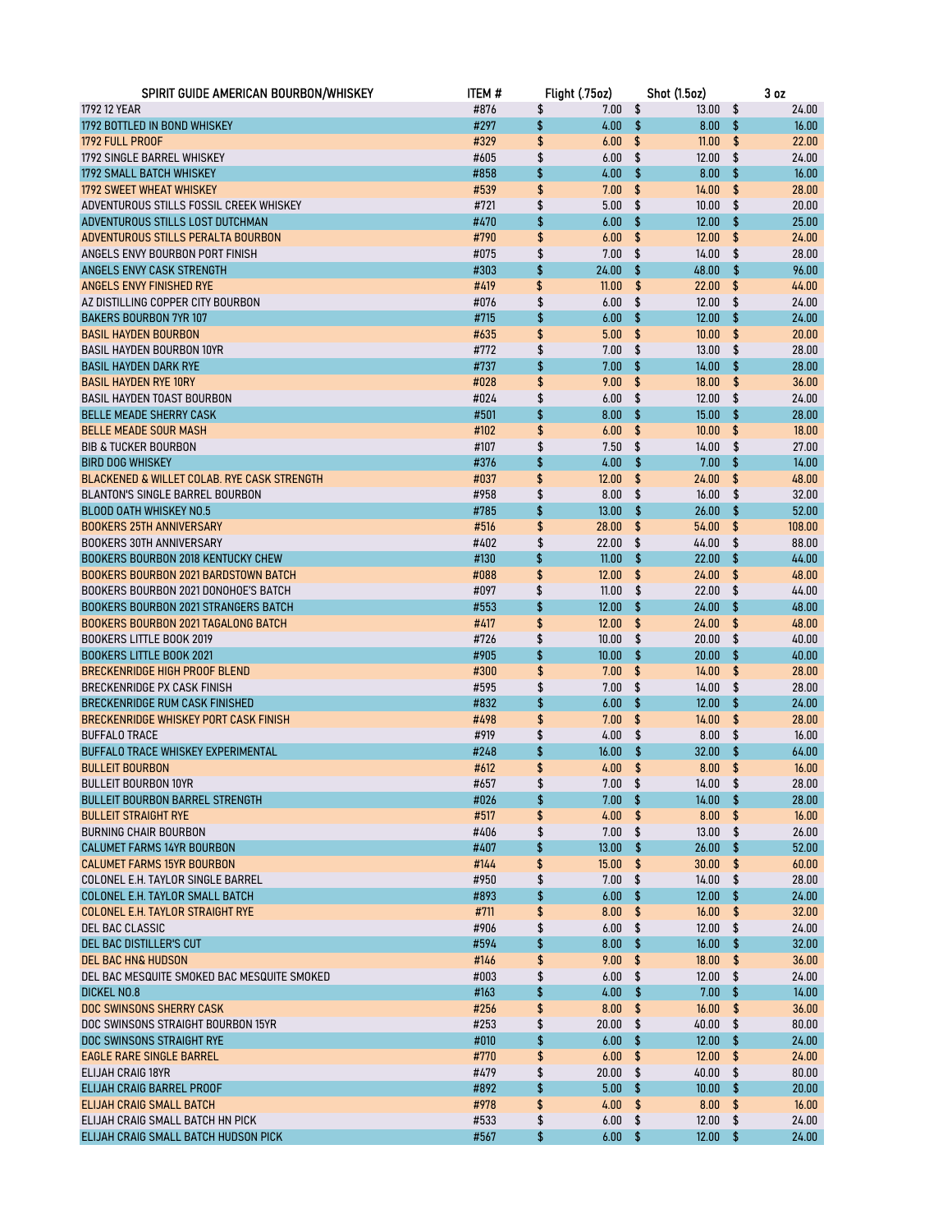| SPIRIT GUIDE AMERICAN BOURBON/WHISKEY       | <b>ITEM#</b> | Flight (.75oz)  |                         | <b>Shot (1.5oz)</b> | 3 <sub>oz</sub> |
|---------------------------------------------|--------------|-----------------|-------------------------|---------------------|-----------------|
| 1792 12 YEAR                                | #876         | \$<br>7.00      | \$                      | 13.00               | \$<br>24.00     |
| 1792 BOTTLED IN BOND WHISKEY                | #297         | \$<br>4.00      | \$                      | 8.00                | \$<br>16.00     |
| 1792 FULL PROOF                             | #329         | \$<br>6.00      | \$                      | 11.00               | \$<br>22.00     |
| 1792 SINGLE BARREL WHISKEY                  | #605         | \$<br>6.00      | \$                      | 12.00               | \$<br>24.00     |
| <b>1792 SMALL BATCH WHISKEY</b>             | #858         | \$<br>4.00      | \$                      | 8.00                | \$<br>16.00     |
| 1792 SWEET WHEAT WHISKEY                    | #539         | \$<br>7.00      | \$                      | 14.00               | \$<br>28.00     |
| ADVENTUROUS STILLS FOSSIL CREEK WHISKEY     | #721         | \$<br>5.00      | \$                      | 10.00               | \$<br>20.00     |
| ADVENTUROUS STILLS LOST DUTCHMAN            | #470         | \$<br>6.00      | \$                      | 12.00               | \$<br>25.00     |
| ADVENTUROUS STILLS PERALTA BOURBON          | #790         | \$<br>6.00      | \$                      | 12.00               | \$<br>24.00     |
| ANGELS ENVY BOURBON PORT FINISH             | #075         | \$<br>7.00      | \$                      | 14.00               | \$<br>28.00     |
| ANGELS ENVY CASK STRENGTH                   | #303         | \$<br>24.00     | \$                      | 48.00               | \$<br>96.00     |
| ANGELS ENVY FINISHED RYE                    | #419         | \$<br>11.00     | \$                      | 22.00               | \$<br>44.00     |
| AZ DISTILLING COPPER CITY BOURBON           | #076         | \$<br>6.00      | \$                      | 12.00               | \$<br>24.00     |
| <b>BAKERS BOURBON 7YR 107</b>               | #715         | \$<br>6.00      | \$                      | 12.00               | \$<br>24.00     |
| <b>BASIL HAYDEN BOURBON</b>                 | #635         | \$<br>5.00      | \$                      | 10.00               | \$<br>20.00     |
| <b>BASIL HAYDEN BOURBON 10YR</b>            | #772         | \$<br>7.00      | \$                      | 13.00               | \$<br>28.00     |
| <b>BASIL HAYDEN DARK RYE</b>                | #737         | \$<br>7.00      | \$                      | 14.00               | \$<br>28.00     |
| <b>BASIL HAYDEN RYE 10RY</b>                | #028         | \$<br>9.00      | \$                      | 18.00               | \$<br>36.00     |
| <b>BASIL HAYDEN TOAST BOURBON</b>           | #024         | \$<br>6.00      | \$                      | 12.00               | \$<br>24.00     |
| <b>BELLE MEADE SHERRY CASK</b>              | #501         | \$<br>8.00      | \$                      | 15.00               | \$<br>28.00     |
| <b>BELLE MEADE SOUR MASH</b>                | #102         | \$<br>6.00      | \$                      | 10.00               | \$<br>18.00     |
| <b>BIB &amp; TUCKER BOURBON</b>             | #107         | \$<br>7.50      | \$                      | 14.00               | \$<br>27.00     |
| <b>BIRD DOG WHISKEY</b>                     | #376         | \$<br>4.00      | \$                      | 7.00                | \$<br>14.00     |
| BLACKENED & WILLET COLAB. RYE CASK STRENGTH | #037         | \$<br>12.00     | \$                      | 24.00               | \$<br>48.00     |
| <b>BLANTON'S SINGLE BARREL BOURBON</b>      | #958         | \$<br>8.00      | \$                      | 16.00               | \$<br>32.00     |
| <b>BLOOD OATH WHISKEY NO.5</b>              | #785         | \$<br>13.00     | \$                      | 26.00               | \$<br>52.00     |
| <b>BOOKERS 25TH ANNIVERSARY</b>             | #516         | \$<br>28.00     | \$                      | 54.00               | \$<br>108.00    |
| <b>BOOKERS 30TH ANNIVERSARY</b>             | #402         | \$<br>22.00     | \$                      | 44.00               | \$<br>88.00     |
| <b>BOOKERS BOURBON 2018 KENTUCKY CHEW</b>   | #130         | \$<br>11.00     | \$                      | 22.00               | \$<br>44.00     |
| <b>BOOKERS BOURBON 2021 BARDSTOWN BATCH</b> | #088         | \$<br>12.00     | \$                      | 24.00               | \$<br>48.00     |
| BOOKERS BOURBON 2021 DONOHOE'S BATCH        | #097         | \$<br>11.00     | \$                      | 22.00               | \$<br>44.00     |
| <b>BOOKERS BOURBON 2021 STRANGERS BATCH</b> | #553         | \$<br>12.00     | \$                      | 24.00               | \$<br>48.00     |
| <b>BOOKERS BOURBON 2021 TAGALONG BATCH</b>  | #417         | \$<br>12.00     | \$                      | 24.00               | \$<br>48.00     |
| <b>BOOKERS LITTLE BOOK 2019</b>             | #726         | \$<br>10.00     | \$                      | 20.00               | \$<br>40.00     |
| <b>BOOKERS LITTLE BOOK 2021</b>             | #905         | \$<br>10.00     | \$                      | 20.00               | \$<br>40.00     |
| <b>BRECKENRIDGE HIGH PROOF BLEND</b>        | #300         | \$<br>7.00      | \$                      | 14.00               | \$<br>28.00     |
| <b>BRECKENRIDGE PX CASK FINISH</b>          | #595         | \$<br>7.00      | \$                      | 14.00               | \$<br>28.00     |
| <b>BRECKENRIDGE RUM CASK FINISHED</b>       | #832         | \$<br>6.00      | \$                      | 12.00               | \$<br>24.00     |
| BRECKENRIDGE WHISKEY PORT CASK FINISH       | #498         | \$<br>7.00      | \$                      | 14.00               | \$<br>28.00     |
| <b>BUFFALO TRACE</b>                        | #919         | \$<br>4.00      | \$                      | 8.00                | \$<br>16.00     |
| BUFFALO TRACE WHISKEY EXPERIMENTAL          | #248         | \$<br>16.00     | \$                      | 32.00               | \$<br>64.00     |
| <b>BULLEIT BOURBON</b>                      | #612         | \$<br>4.00      | \$                      | 8.00                | \$<br>16.00     |
| <b>BULLEIT BOURBON 10YR</b>                 | #657         | \$<br>$7.00$ \$ |                         | $14.00$ \$          | 28.00           |
| <b>BULLEIT BOURBON BARREL STRENGTH</b>      | #026         | \$<br>7.00      | \$                      | $14.00 -$           | \$<br>28.00     |
| <b>BULLEIT STRAIGHT RYE</b>                 | #517         | \$<br>4.00      | \$                      | 8.00                | \$<br>16.00     |
| <b>BURNING CHAIR BOURBON</b>                | #406         | \$<br>7.00      | \$                      | 13.00               | \$<br>26.00     |
| <b>CALUMET FARMS 14YR BOURBON</b>           | #407         | \$<br>13.00     | \$                      | 26.00               | \$<br>52.00     |
| <b>CALUMET FARMS 15YR BOURBON</b>           | #144         | \$<br>15.00     | \$                      | 30.00               | \$<br>60.00     |
| COLONEL E.H. TAYLOR SINGLE BARREL           | #950         | \$<br>7.00      | \$                      | 14.00               | \$<br>28.00     |
| COLONEL E.H. TAYLOR SMALL BATCH             | #893         | \$<br>6.00      | \$                      | 12.00               | \$<br>24.00     |
| <b>COLONEL E.H. TAYLOR STRAIGHT RYE</b>     | #711         | \$<br>8.00      | \$                      | 16.00               | \$<br>32.00     |
| DEL BAC CLASSIC                             | #906         | \$<br>6.00      | \$                      | 12.00               | \$<br>24.00     |
| DEL BAC DISTILLER'S CUT                     | #594         | \$<br>8.00      | \$                      | 16.00               | \$<br>32.00     |
| DEL BAC HN& HUDSON                          | #146         | \$<br>9.00      | $\sqrt[6]{\frac{1}{2}}$ | 18.00               | \$<br>36.00     |
| DEL BAC MESQUITE SMOKED BAC MESQUITE SMOKED | #003         | \$<br>6.00      | \$                      | 12.00               | \$<br>24.00     |
| <b>DICKEL NO.8</b>                          | #163         | \$<br>4.00      | \$                      | 7.00                | \$<br>14.00     |
| DOC SWINSONS SHERRY CASK                    | #256         | \$<br>8.00      | \$                      | 16.00               | \$<br>36.00     |
| DOC SWINSONS STRAIGHT BOURBON 15YR          | #253         | \$<br>20.00     | \$                      | 40.00               | \$<br>80.00     |
| DOC SWINSONS STRAIGHT RYE                   | #010         | \$<br>6.00      | \$                      | 12.00               | \$<br>24.00     |
| <b>EAGLE RARE SINGLE BARREL</b>             | #770         | \$<br>6.00      | \$                      | 12.00               | \$<br>24.00     |
| ELIJAH CRAIG 18YR                           | #479         | \$<br>20.00     | \$                      | 40.00               | \$<br>80.00     |
| ELIJAH CRAIG BARREL PROOF                   | #892         | \$<br>5.00      | \$                      | 10.00               | \$<br>20.00     |
| ELIJAH CRAIG SMALL BATCH                    | #978         | \$<br>4.00      | \$                      | 8.00                | \$<br>16.00     |
| ELIJAH CRAIG SMALL BATCH HN PICK            | #533         | \$<br>6.00      | \$                      | 12.00               | \$<br>24.00     |
| ELIJAH CRAIG SMALL BATCH HUDSON PICK        | #567         | \$<br>6.00      | - \$                    | 12.00               | \$<br>24.00     |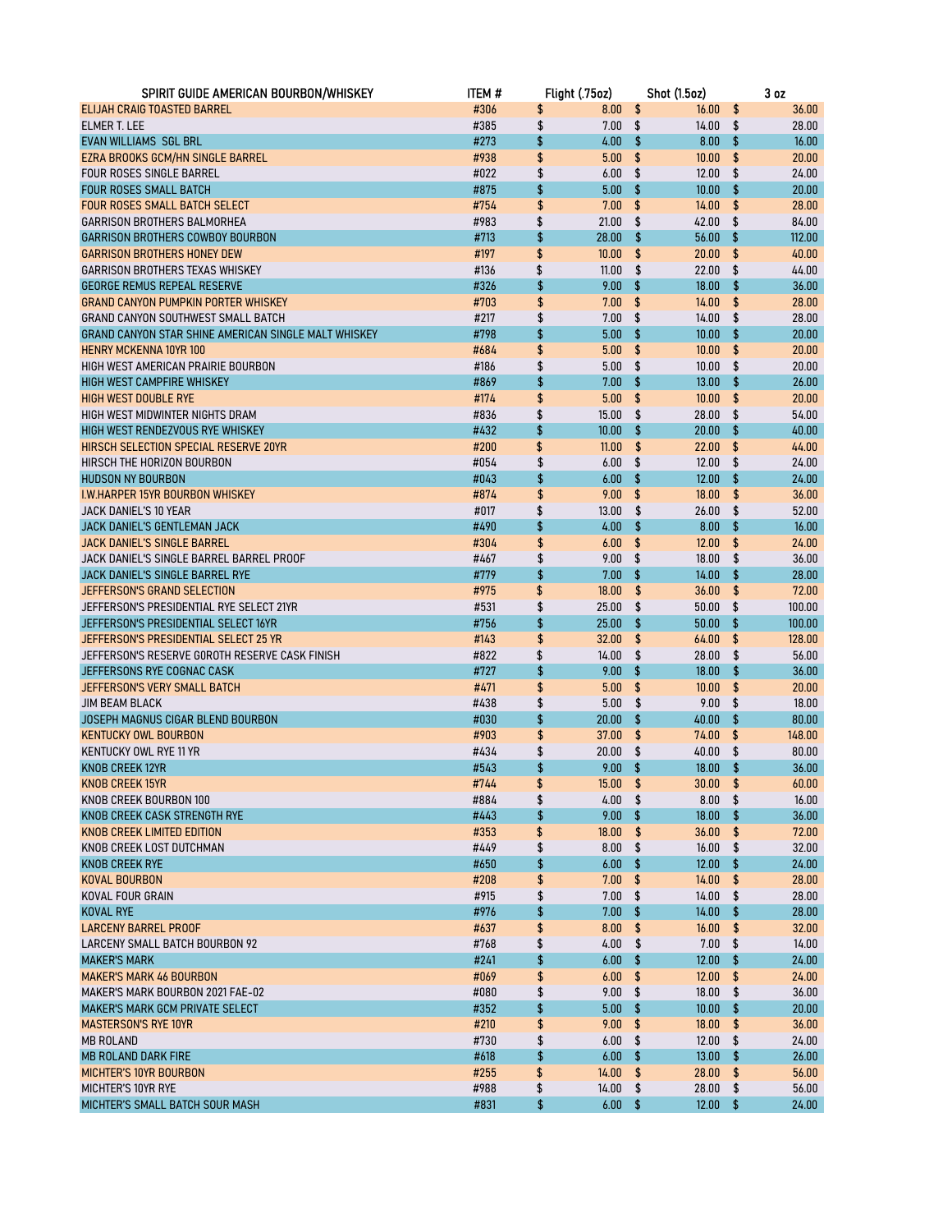| SPIRIT GUIDE AMERICAN BOURBON/WHISKEY                               | item #       |          | Flight (.75oz) |          | <b>Shot (1.5oz)</b> |          | 3 <sub>0z</sub> |
|---------------------------------------------------------------------|--------------|----------|----------------|----------|---------------------|----------|-----------------|
| ELIJAH CRAIG TOASTED BARREL                                         | #306         | \$       | 8.00           | \$       | 16.00               | \$       | 36.00           |
| <b>ELMER T. LEE</b>                                                 | #385         | \$       | 7.00           | \$       | 14.00               | \$       | 28.00           |
| EVAN WILLIAMS SGL BRL                                               | #273         | \$       | 4.00           | \$       | 8.00                | \$       | 16.00           |
| EZRA BROOKS GCM/HN SINGLE BARREL                                    | #938         | \$       | 5.00           | \$       | 10.00               | \$       | 20.00           |
| <b>FOUR ROSES SINGLE BARREL</b>                                     | #022         | \$       | 6.00           | \$       | 12.00               | \$       | 24.00           |
| <b>FOUR ROSES SMALL BATCH</b>                                       | #875         | \$       | 5.00           | \$       | 10.00               | \$       | 20.00           |
| <b>FOUR ROSES SMALL BATCH SELECT</b>                                | #754         | \$       | 7.00           | \$       | 14.00               | \$       | 28.00           |
| GARRISON BROTHERS BALMORHEA                                         | #983         | \$       | 21.00          | \$       | 42.00               | \$       | 84.00           |
| <b>GARRISON BROTHERS COWBOY BOURBON</b>                             | #713         | \$       | 28.00          | \$       | 56.00               | \$       | 112.00          |
| <b>GARRISON BROTHERS HONEY DEW</b>                                  | #197         | \$       | 10.00          | \$       | 20.00               | \$       | 40.00           |
| <b>GARRISON BROTHERS TEXAS WHISKEY</b>                              | #136         | \$       | 11.00          | \$       | 22.00               | \$       | 44.00           |
| <b>GEORGE REMUS REPEAL RESERVE</b>                                  | #326         | \$       | 9.00           | \$       | 18.00               | \$       | 36.00           |
| <b>GRAND CANYON PUMPKIN PORTER WHISKEY</b>                          | #703         | \$       | 7.00           | \$       | 14.00               | \$       | 28.00           |
| GRAND CANYON SOUTHWEST SMALL BATCH                                  | #217         | \$       | 7.00           | \$       | 14.00               | \$       | 28.00           |
| GRAND CANYON STAR SHINE AMERICAN SINGLE MALT WHISKEY                | #798         | \$       | 5.00           | \$       | 10.00               | \$       | 20.00           |
| <b>HENRY MCKENNA 10YR 100</b>                                       | #684         | \$       | 5.00           | \$       | 10.00               | \$       | 20.00           |
| HIGH WEST AMERICAN PRAIRIE BOURBON                                  | #186         | \$       | 5.00           | \$       | 10.00               | \$       | 20.00           |
| <b>HIGH WEST CAMPFIRE WHISKEY</b>                                   | #869         | \$       | 7.00           | \$       | 13.00               | \$       | 26.00           |
| <b>HIGH WEST DOUBLE RYE</b>                                         | #174         | \$       | 5.00           | \$       | 10.00               | \$       | 20.00           |
| HIGH WEST MIDWINTER NIGHTS DRAM                                     | #836         | \$       | 15.00          | \$       | 28.00               | \$       | 54.00           |
| HIGH WEST RENDEZVOUS RYE WHISKEY                                    | #432         | \$       | 10.00          | \$       | 20.00               | \$       | 40.00           |
| HIRSCH SELECTION SPECIAL RESERVE 20YR<br>HIRSCH THE HORIZON BOURBON | #200         | \$       | 11.00          | \$       | 22.00               | \$       | 44.00           |
|                                                                     | #054         | \$       | 6.00           | \$       | 12.00               | \$       | 24.00           |
| <b>HUDSON NY BOURBON</b>                                            | #043         | \$       | 6.00           | \$       | 12.00               | \$<br>\$ | 24.00           |
| I.W.HARPER 15YR BOURBON WHISKEY                                     | #874<br>#017 | \$<br>\$ | 9.00<br>13.00  | \$<br>\$ | 18.00<br>26.00      | \$       | 36.00<br>52.00  |
| <b>JACK DANIEL'S 10 YEAR</b><br>JACK DANIEL'S GENTLEMAN JACK        | #490         | \$       | 4.00           | \$       | 8.00                | \$       | 16.00           |
| <b>JACK DANIEL'S SINGLE BARREL</b>                                  | #304         | \$       | 6.00           | \$       | 12.00               | \$       | 24.00           |
| JACK DANIEL'S SINGLE BARREL BARREL PROOF                            | #467         | \$       | 9.00           | \$       | 18.00               | \$       | 36.00           |
| JACK DANIEL'S SINGLE BARREL RYE                                     | #779         | \$       | 7.00           | \$       | 14.00               | \$       | 28.00           |
| JEFFERSON'S GRAND SELECTION                                         | #975         | \$       | 18.00          | \$       | 36.00               | \$       | 72.00           |
| JEFFERSON'S PRESIDENTIAL RYE SELECT 21YR                            | #531         | \$       | 25.00          | \$       | 50.00               | \$       | 100.00          |
| JEFFERSON'S PRESIDENTIAL SELECT 16YR                                | #756         | \$       | 25.00          | \$       | 50.00               | \$       | 100.00          |
| JEFFERSON'S PRESIDENTIAL SELECT 25 YR                               | #143         | \$       | 32.00          | \$       | 64.00               | \$       | 128.00          |
| JEFFERSON'S RESERVE GOROTH RESERVE CASK FINISH                      | #822         | \$       | 14.00          | \$       | 28.00               | \$       | 56.00           |
| JEFFERSONS RYE COGNAC CASK                                          | #727         | \$       | 9.00           | \$       | 18.00               | \$       | 36.00           |
| <b>JEFFERSON'S VERY SMALL BATCH</b>                                 | #471         | \$       | 5.00           | \$       | 10.00               | \$       | 20.00           |
| <b>JIM BEAM BLACK</b>                                               | #438         | \$       | 5.00           | \$       | 9.00                | \$       | 18.00           |
| JOSEPH MAGNUS CIGAR BLEND BOURBON                                   | #030         | \$       | 20.00          | \$       | 40.00               | \$       | 80.00           |
| <b>KENTUCKY OWL BOURBON</b>                                         | #903         | \$       | 37.00          | \$       | 74.00               | \$       | 148.00          |
| KENTUCKY OWL RYE 11 YR                                              | #434         | \$       | 20.00          | \$       | 40.00               | \$       | 80.00           |
| KNOB CREEK 12YR                                                     | #543         | \$       | 9.00           | \$       | 18.00               | \$       | 36.00           |
| <b>KNOB CREEK 15YR</b>                                              | #744         | \$       | $15.00$ \$     |          | $30.00$ \$          |          | 60.00           |
| KNOB CREEK BOURBON 100                                              | #884         | \$       | $4.00$ \$      |          | $8.00$ \$           |          | 16.00           |
| KNOB CREEK CASK STRENGTH RYE                                        | #443         | \$       | 9.00           | \$       | 18.00               | \$       | 36.00           |
| KNOB CREEK LIMITED EDITION                                          | #353         | \$       | 18.00          | \$       | 36.00               | \$       | 72.00           |
| KNOB CREEK LOST DUTCHMAN                                            | #449         | \$       | 8.00           | \$       | 16.00               | \$       | 32.00           |
| <b>KNOB CREEK RYE</b>                                               | #650         | \$       | 6.00           | \$       | 12.00               | \$       | 24.00           |
| KOVAL BOURBON                                                       | #208         | \$       | 7.00           | \$       | 14.00               | \$       | 28.00           |
| KOVAL FOUR GRAIN                                                    | #915         | \$       | 7.00           | \$       | 14.00               | \$       | 28.00           |
| KOVAL RYE                                                           | #976         | \$       | 7.00           | \$       | 14.00               | \$       | 28.00           |
| <b>LARCENY BARREL PROOF</b>                                         | #637         | \$       | 8.00           | \$       | 16.00               | \$       | 32.00           |
| LARCENY SMALL BATCH BOURBON 92                                      | #768         | \$       | 4.00           | \$       | 7.00                | \$       | 14.00           |
| <b>MAKER'S MARK</b>                                                 | #241         | \$       | 6.00           | \$       | 12.00               | \$       | 24.00           |
| <b>MAKER'S MARK 46 BOURBON</b>                                      | #069         | \$       | 6.00           | \$       | 12.00               | \$       | 24.00           |
| MAKER'S MARK BOURBON 2021 FAE-02                                    | #080         | \$       | 9.00           | \$       | 18.00               | \$       | 36.00           |
| MAKER'S MARK GCM PRIVATE SELECT                                     | #352         | \$       | 5.00           | \$       | 10.00               | \$       | 20.00           |
| <b>MASTERSON'S RYE 10YR</b>                                         | #210         | \$       | 9.00           | \$       | 18.00               | \$       | 36.00           |
| MB ROLAND                                                           | #730         | \$       | 6.00           | \$       | 12.00               | \$       | 24.00           |
| MB ROLAND DARK FIRE                                                 | #618         | \$       | 6.00           | \$       | 13.00               | \$       | 26.00           |
| <b>MICHTER'S 10YR BOURBON</b>                                       | #255         | \$       | 14.00          | \$       | 28.00               | \$       | 56.00           |
| MICHTER'S 10YR RYE                                                  | #988         | \$       | 14.00          | \$       | 28.00               | \$       | 56.00           |
| MICHTER'S SMALL BATCH SOUR MASH                                     | #831         | \$       | 6.00           | \$       | 12.00               | \$       | 24.00           |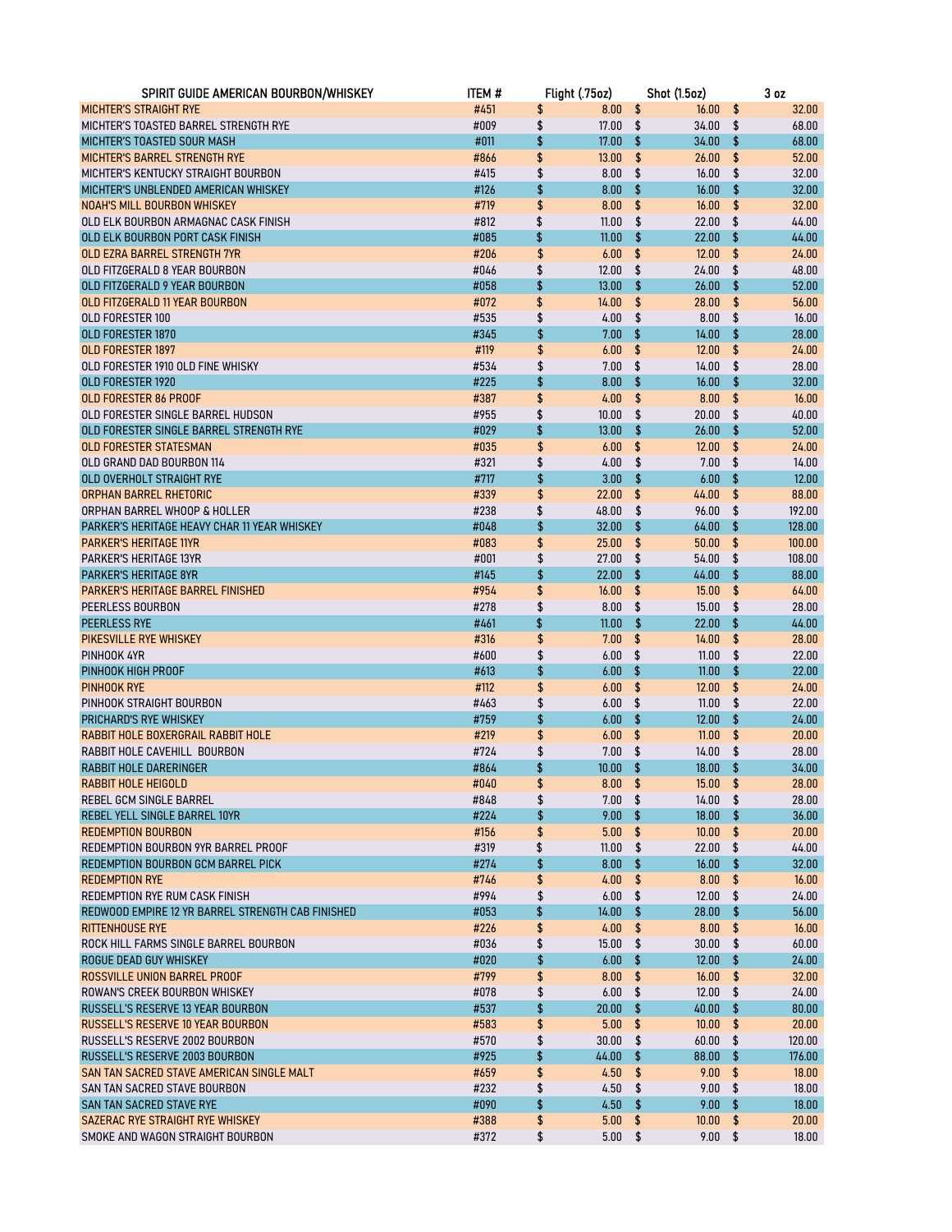| SPIRIT GUIDE AMERICAN BOURBON/WHISKEY                        | ITEM #       |          | Flight (.75oz)  |          | <b>Shot (1.5oz)</b> |               | 3 <sub>oz</sub> |
|--------------------------------------------------------------|--------------|----------|-----------------|----------|---------------------|---------------|-----------------|
| <b>MICHTER'S STRAIGHT RYE</b>                                | #451         | \$       | 8.00            | \$       | 16.00               | \$            | 32.00           |
| MICHTER'S TOASTED BARREL STRENGTH RYE                        | #009         | \$       | 17.00           | \$       | 34.00               | \$            | 68.00           |
| MICHTER'S TOASTED SOUR MASH                                  | #011         | \$       | 17.00           | \$       | 34.00               | \$            | 68.00           |
| <b>MICHTER'S BARREL STRENGTH RYE</b>                         | #866         | \$       | 13.00           | \$       | 26.00               | \$            | 52.00           |
| MICHTER'S KENTUCKY STRAIGHT BOURBON                          | #415         | \$       | 8.00            | \$       | 16.00               | \$            | 32.00           |
| MICHTER'S UNBLENDED AMERICAN WHISKEY                         | #126         | \$       | 8.00            | \$       | 16.00               | \$            | 32.00           |
| <b>NOAH'S MILL BOURBON WHISKEY</b>                           | #719         | \$       | 8.00            | \$       | 16.00               | \$            | 32.00           |
| OLD ELK BOURBON ARMAGNAC CASK FINISH                         | #812         | \$       | 11.00           | \$       | 22.00               | \$            | 44.00           |
| OLD ELK BOURBON PORT CASK FINISH                             | #085         | \$       | 11.00           | \$       | 22.00               | \$            | 44.00           |
| OLD EZRA BARREL STRENGTH 7YR                                 | #206         | \$       | 6.00            | \$       | 12.00               | \$            | 24.00           |
| OLD FITZGERALD 8 YEAR BOURBON                                | #046         | \$       | 12.00           | \$       | 24.00               | \$            | 48.00           |
| OLD FITZGERALD 9 YEAR BOURBON                                | #058         | \$       | 13.00           | \$       | 26.00               | \$            | 52.00           |
| OLD FITZGERALD 11 YEAR BOURBON                               | #072         | \$       | 14.00           | \$       | 28.00               | \$            | 56.00           |
| OLD FORESTER 100                                             | #535         | \$       | 4.00            | \$       | 8.00                | \$            | 16.00           |
| <b>OLD FORESTER 1870</b>                                     | #345         | \$       | 7.00            | \$       | 14.00               | \$            | 28.00           |
| <b>OLD FORESTER 1897</b>                                     | #119         | \$       | 6.00            | \$       | 12.00               | \$            | 24.00           |
| OLD FORESTER 1910 OLD FINE WHISKY                            | #534         | \$       | 7.00            | \$       | 14.00               | \$            | 28.00           |
| OLD FORESTER 1920                                            | #225         | \$       | 8.00            | \$       | 16.00               | \$            | 32.00           |
| <b>OLD FORESTER 86 PROOF</b>                                 | #387         | \$       | 4.00            | \$       | 8.00                | \$            | 16.00           |
| OLD FORESTER SINGLE BARREL HUDSON                            | #955         | \$       | 10.00           | \$       | 20.00               | \$            | 40.00           |
| OLD FORESTER SINGLE BARREL STRENGTH RYE                      | #029         | \$       | 13.00           | \$       | 26.00               | \$            | 52.00           |
| <b>OLD FORESTER STATESMAN</b>                                | #035         | \$       | 6.00            | \$       | 12.00               | \$            | 24.00           |
| OLD GRAND DAD BOURBON 114                                    | #321         | \$       | 4.00            | \$       | 7.00                | \$            | 14.00           |
| OLD OVERHOLT STRAIGHT RYE                                    | #717         | \$       | 3.00            | \$       | 6.00                | \$            | 12.00           |
| <b>ORPHAN BARREL RHETORIC</b>                                | #339         | \$       | 22.00           | \$       | 44.00               | \$            | 88.00           |
| ORPHAN BARREL WHOOP & HOLLER                                 | #238         | \$       | 48.00           | \$       | 96.00               | \$            | 192.00          |
| PARKER'S HERITAGE HEAVY CHAR 11 YEAR WHISKEY                 | #048         | \$       | 32.00           | \$       | 64.00               | \$            | 128.00          |
| <b>PARKER'S HERITAGE 11YR</b>                                | #083         | \$       | 25.00           | \$       | 50.00               | \$            | 100.00          |
| <b>PARKER'S HERITAGE 13YR</b>                                | #001         | \$       | 27.00           | \$       | 54.00               | \$            | 108.00          |
| <b>PARKER'S HERITAGE 8YR</b>                                 | #145         | \$       | 22.00           | \$       | 44.00               | \$            | 88.00           |
| <b>PARKER'S HERITAGE BARREL FINISHED</b>                     | #954         | \$       | 16.00           | \$       | 15.00               | \$            | 64.00           |
| PEERLESS BOURBON                                             | #278         | \$       | 8.00            | \$       | 15.00               | \$            | 28.00           |
| <b>PEERLESS RYE</b>                                          | #461         | \$       | 11.00           | \$       | 22.00               | \$            | 44.00           |
| PIKESVILLE RYE WHISKEY                                       | #316         | \$       | 7.00            | \$       | 14.00               | \$            | 28.00           |
| PINHOOK 4YR                                                  | #600         | \$       | 6.00            | \$       | 11.00               | \$            | 22.00           |
| PINHOOK HIGH PROOF                                           | #613         | \$       | 6.00            | \$       | 11.00               | \$<br>\$      | 22.00           |
| PINHOOK RYE<br>PINHOOK STRAIGHT BOURBON                      | #112         | \$       | 6.00<br>6.00    | \$<br>\$ | 12.00<br>11.00      | \$            | 24.00<br>22.00  |
|                                                              | #463         | \$<br>\$ | 6.00            | \$       | 12.00               | \$            | 24.00           |
| PRICHARD'S RYE WHISKEY<br>RABBIT HOLE BOXERGRAIL RABBIT HOLE | #759<br>#219 | \$       | 6.00            | \$       | 11.00               | \$            | 20.00           |
| RABBIT HOLE CAVEHILL BOURBON                                 | #724         | \$       | 7.00            | \$       | 14.00               | \$            | 28.00           |
| RABBIT HOLE DARERINGER                                       | #864         | \$       | 10.00           | \$       | 18.00               | \$            | 34.00           |
| RABBIT HOLE HEIGOLD                                          | #040         | \$       | $8.00$ \$       |          | $15.00$ \$          |               | 28.00           |
| REBEL GCM SINGLE BARREL                                      | #848         | \$       | $7.00 \quad$ \$ |          | $14.00$ \$          |               | 28.00           |
| REBEL YELL SINGLE BARREL 10YR                                | #224         | \$       | 9.00            | \$       | 18.00               | \$            | 36.00           |
| <b>REDEMPTION BOURBON</b>                                    | #156         | \$       | 5.00            | \$       | 10.00               | \$            | 20.00           |
| REDEMPTION BOURBON 9YR BARREL PROOF                          | #319         | \$       | 11.00           | \$       | 22.00               | \$            | 44.00           |
| REDEMPTION BOURBON GCM BARREL PICK                           | #274         | \$       | 8.00            | \$       | 16.00               | \$            | 32.00           |
| <b>REDEMPTION RYE</b>                                        | #746         | \$       | 4.00            | \$       | 8.00                | \$            | 16.00           |
| REDEMPTION RYE RUM CASK FINISH                               | #994         | \$       | 6.00            | \$       | 12.00               | \$            | 24.00           |
| REDWOOD EMPIRE 12 YR BARREL STRENGTH CAB FINISHED            | #053         | \$       | 14.00           | \$       | 28.00               | \$            | 56.00           |
| <b>RITTENHOUSE RYE</b>                                       | #226         | \$       | 4.00            | \$       | 8.00                | \$            | 16.00           |
| ROCK HILL FARMS SINGLE BARREL BOURBON                        | #036         | \$       | 15.00           | \$       | 30.00               | \$            | 60.00           |
| ROGUE DEAD GUY WHISKEY                                       | #020         | \$       | 6.00            | \$       | 12.00               | $\sqrt{2}$    | 24.00           |
| ROSSVILLE UNION BARREL PROOF                                 | #799         | \$       | 8.00            | \$       | 16.00               | \$            | 32.00           |
| ROWAN'S CREEK BOURBON WHISKEY                                | #078         | \$       | 6.00            | \$       | 12.00               | \$            | 24.00           |
| RUSSELL'S RESERVE 13 YEAR BOURBON                            | #537         | \$       | 20.00           | \$       | 40.00               | \$            | 80.00           |
| <b>RUSSELL'S RESERVE 10 YEAR BOURBON</b>                     | #583         | \$       | 5.00            | \$       | 10.00               | \$            | 20.00           |
| RUSSELL'S RESERVE 2002 BOURBON                               | #570         | \$       | 30.00           | \$       | 60.00               | \$            | 120.00          |
| RUSSELL'S RESERVE 2003 BOURBON                               | #925         | \$       | 44.00           | \$       | 88.00               | \$            | 176.00          |
| SAN TAN SACRED STAVE AMERICAN SINGLE MALT                    | #659         | \$       | 4.50            | \$       | 9.00                | $\sqrt[6]{3}$ | 18.00           |
| SAN TAN SACRED STAVE BOURBON                                 | #232         | \$       | 4.50            | \$       | 9.00                | \$            | 18.00           |
| SAN TAN SACRED STAVE RYE                                     | #090         | \$       | 4.50            | \$       | 9.00 <sub>1</sub>   | \$            | 18.00           |
| SAZERAC RYE STRAIGHT RYE WHISKEY                             | #388         | \$       | 5.00            | \$       | 10.00               | \$            | 20.00           |
| SMOKE AND WAGON STRAIGHT BOURBON                             | #372         | \$       | 5.00            | \$       | 9.00                | \$            | 18.00           |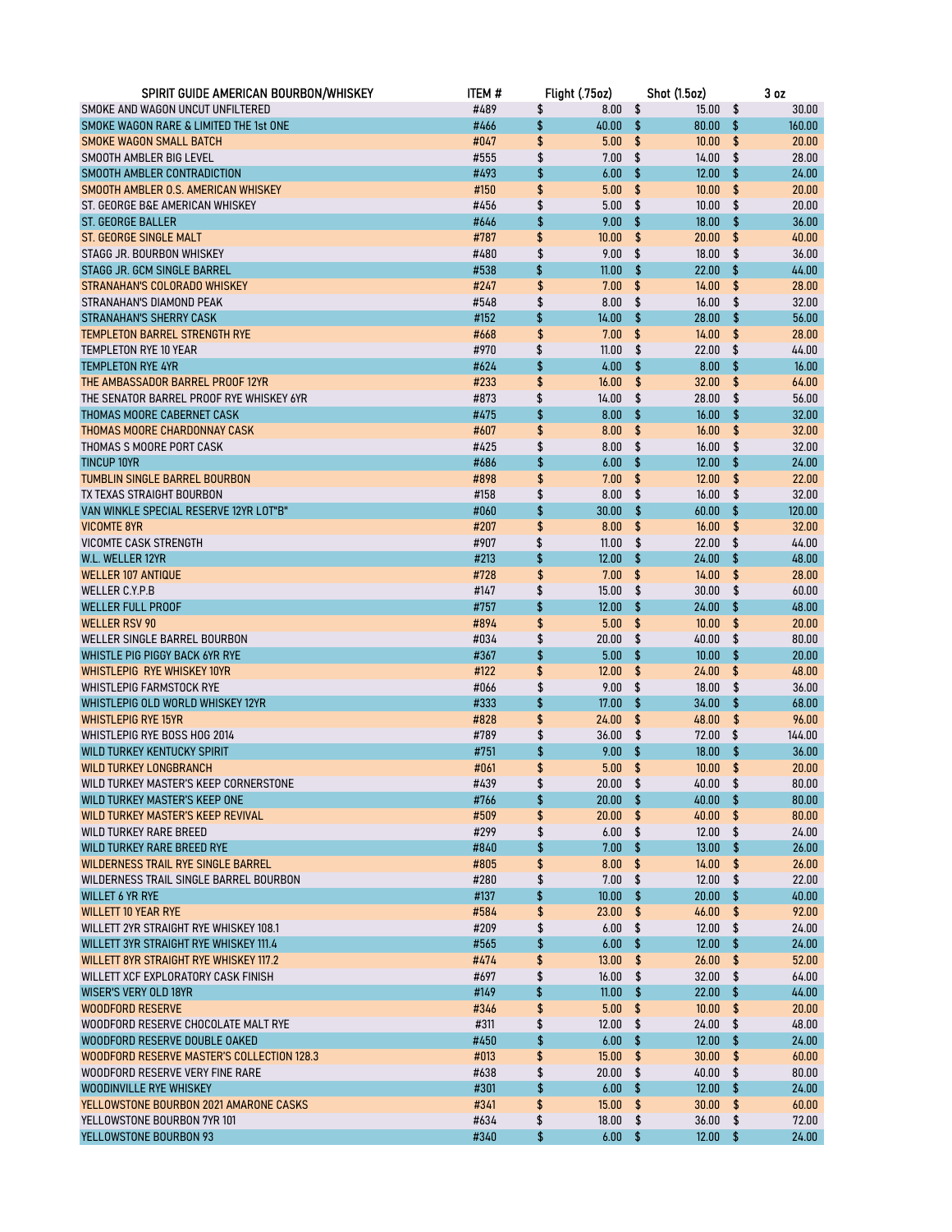| SPIRIT GUIDE AMERICAN BOURBON/WHISKEY      | ITEM # | Flight (.75oz)   |     | <b>Shot (1.5oz)</b> |                         | 3 <sub>0z</sub> |
|--------------------------------------------|--------|------------------|-----|---------------------|-------------------------|-----------------|
| SMOKE AND WAGON UNCUT UNFILTERED           | #489   | \$<br>8.00       | \$  | 15.00               | \$                      | 30.00           |
| SMOKE WAGON RARE & LIMITED THE 1st ONE     | #466   | \$<br>40.00      | \$  | 80.00               | \$                      | 160.00          |
| <b>SMOKE WAGON SMALL BATCH</b>             | #047   | \$<br>5.00       | \$  | 10.00               | \$                      | 20.00           |
| SMOOTH AMBLER BIG LEVEL                    | #555   | \$<br>7.00       | \$  | 14.00               | \$                      | 28.00           |
| SMOOTH AMBLER CONTRADICTION                | #493   | \$<br>6.00       | \$  | 12.00               | \$                      | 24.00           |
| SMOOTH AMBLER O.S. AMERICAN WHISKEY        | #150   | \$<br>5.00       | \$  | 10.00               | \$                      | 20.00           |
| ST. GEORGE B&E AMERICAN WHISKEY            | #456   | \$<br>5.00       | \$  | 10.00               | \$                      | 20.00           |
| <b>ST. GEORGE BALLER</b>                   | #646   | \$<br>9.00       | \$  | 18.00               | \$                      | 36.00           |
| <b>ST. GEORGE SINGLE MALT</b>              | #787   | \$<br>10.00      | \$  | 20.00               | \$                      | 40.00           |
| STAGG JR. BOURBON WHISKEY                  | #480   | \$<br>9.00       | \$  | 18.00               | \$                      | 36.00           |
| STAGG JR. GCM SINGLE BARREL                | #538   | \$<br>11.00      | \$  | 22.00               | \$                      | 44.00           |
| STRANAHAN'S COLORADO WHISKEY               | #247   | \$<br>7.00       | \$  | 14.00               | \$                      | 28.00           |
| STRANAHAN'S DIAMOND PEAK                   | #548   | \$<br>8.00       | \$  | 16.00               | \$                      | 32.00           |
| STRANAHAN'S SHERRY CASK                    | #152   | \$<br>14.00      | \$  | 28.00               | \$                      | 56.00           |
| <b>TEMPLETON BARREL STRENGTH RYE</b>       | #668   | \$<br>7.00       | \$  | 14.00               | \$                      | 28.00           |
| TEMPLETON RYE 10 YEAR                      | #970   | \$<br>11.00      | \$  | 22.00               | \$                      | 44.00           |
| <b>TEMPLETON RYE 4YR</b>                   | #624   | \$<br>4.00       | \$  | 8.00                | \$                      | 16.00           |
| THE AMBASSADOR BARREL PROOF 12YR           | #233   | \$<br>16.00      | \$  | 32.00               | \$                      | 64.00           |
| THE SENATOR BARREL PROOF RYE WHISKEY 6YR   | #873   | \$<br>14.00      | \$  | 28.00               | \$                      | 56.00           |
| THOMAS MOORE CABERNET CASK                 | #475   | \$<br>8.00       | \$  | 16.00               | \$                      | 32.00           |
| THOMAS MOORE CHARDONNAY CASK               | #607   | \$<br>8.00       | \$  | 16.00               | \$                      | 32.00           |
| THOMAS S MOORE PORT CASK                   | #425   | \$<br>8.00       | \$  | 16.00               | \$                      | 32.00           |
| <b>TINCUP 10YR</b>                         | #686   | \$<br>6.00       | \$  | 12.00               | \$                      | 24.00           |
| <b>TUMBLIN SINGLE BARREL BOURBON</b>       | #898   | \$<br>7.00       | \$  | 12.00               | \$                      | 22.00           |
| TX TEXAS STRAIGHT BOURBON                  | #158   | \$<br>8.00       | \$  | 16.00               | \$                      | 32.00           |
| VAN WINKLE SPECIAL RESERVE 12YR LOT"B"     | #060   | \$<br>30.00      | \$  | 60.00               | \$                      | 120.00          |
| <b>VICOMTE 8YR</b>                         | #207   | \$<br>8.00       | \$  | 16.00               | \$                      | 32.00           |
| <b>VICOMTE CASK STRENGTH</b>               | #907   | \$<br>11.00      | \$  | 22.00               | \$                      | 44.00           |
| W.L. WELLER 12YR                           | #213   | \$<br>12.00      | \$  | 24.00               | \$                      | 48.00           |
| <b>WELLER 107 ANTIQUE</b>                  | #728   | \$<br>7.00       | \$  | 14.00               | \$                      | 28.00           |
| WELLER C.Y.P.B                             | #147   | \$<br>15.00      | \$  | 30.00               | \$                      | 60.00           |
| <b>WELLER FULL PROOF</b>                   | #757   | \$<br>12.00      | \$  | 24.00               | \$                      | 48.00           |
| <b>WELLER RSV 90</b>                       | #894   | \$<br>5.00       | \$  | 10.00               | \$                      | 20.00           |
| WELLER SINGLE BARREL BOURBON               | #034   | \$<br>20.00      | \$  | 40.00               | \$                      | 80.00           |
| WHISTLE PIG PIGGY BACK 6YR RYE             | #367   | \$<br>5.00       | \$  | 10.00               | \$                      | 20.00           |
| WHISTLEPIG RYE WHISKEY 10YR                | #122   | \$<br>12.00      | \$  | 24.00               | \$                      | 48.00           |
| <b>WHISTLEPIG FARMSTOCK RYE</b>            | #066   | \$<br>9.00       | \$  | 18.00               | \$                      | 36.00           |
| WHISTLEPIG OLD WORLD WHISKEY 12YR          | #333   | \$<br>17.00      | \$  | 34.00               | \$                      | 68.00           |
| <b>WHISTLEPIG RYE 15YR</b>                 | #828   | \$<br>24.00      | \$  | 48.00               | \$                      | 96.00           |
| WHISTLEPIG RYE BOSS HOG 2014               | #789   | \$<br>36.00      | \$  | 72.00               | \$                      | 144.00          |
| WILD TURKEY KENTUCKY SPIRIT                | #751   | \$<br>9.00       | \$  | 18.00               | \$                      | 36.00           |
| <b>WILD TURKEY LONGBRANCH</b>              | #061   | \$<br>5.00       | \$  | 10.00               | \$                      | 20.00           |
| WILD TURKEY MASTER'S KEEP CORNERSTONE      | #439   | \$<br>$20.00$ \$ |     | 40.00 \$            |                         | 80.00           |
| WILD TURKEY MASTER'S KEEP ONE              | #766   | \$<br>20.00      | \$  | $40.00$ \$          |                         | 80.00           |
| WILD TURKEY MASTER'S KEEP REVIVAL          | #509   | \$<br>20.00      | \$  | 40.00               | \$                      | 80.00           |
| WILD TURKEY RARE BREED                     | #299   | \$<br>6.00       | \$  | 12.00               | \$                      | 24.00           |
| WILD TURKEY RARE BREED RYE                 | #840   | \$<br>7.00       | \$  | 13.00               | \$                      | 26.00           |
| WILDERNESS TRAIL RYE SINGLE BARREL         | #805   | \$<br>8.00       | \$  | 14.00               | \$                      | 26.00           |
| WILDERNESS TRAIL SINGLE BARREL BOURBON     | #280   | \$<br>7.00       | \$  | 12.00               | \$                      | 22.00           |
| <b>WILLET 6 YR RYE</b>                     | #137   | \$<br>10.00      | \$  | 20.00               | $\sqrt{2}$              | 40.00           |
| <b>WILLETT 10 YEAR RYE</b>                 | #584   | \$<br>23.00      | \$  | 46.00               | \$                      | 92.00           |
| WILLETT 2YR STRAIGHT RYE WHISKEY 108.1     | #209   | \$<br>6.00       | \$  | 12.00               | \$                      | 24.00           |
| WILLETT 3YR STRAIGHT RYE WHISKEY 111.4     | #565   | \$<br>6.00       | \$  | 12.00               | \$                      | 24.00           |
| WILLETT 8YR STRAIGHT RYE WHISKEY 117.2     | #474   | \$<br>13.00      | \$  | 26.00               | $\sqrt[6]{\frac{1}{2}}$ | 52.00           |
| WILLETT XCF EXPLORATORY CASK FINISH        | #697   | \$<br>16.00      | \$  | 32.00               | \$                      | 64.00           |
| <b>WISER'S VERY OLD 18YR</b>               | #149   | \$<br>11.00      | \$  | 22.00               | \$                      | 44.00           |
| <b>WOODFORD RESERVE</b>                    | #346   | \$<br>5.00       | \$  | 10.00               | \$                      | 20.00           |
| WOODFORD RESERVE CHOCOLATE MALT RYE        | #311   | \$<br>12.00      | \$  | 24.00               | \$                      | 48.00           |
| WOODFORD RESERVE DOUBLE OAKED              | #450   | \$<br>6.00       | \$  | 12.00               | \$                      | 24.00           |
| WOODFORD RESERVE MASTER'S COLLECTION 128.3 | #013   | \$<br>15.00      | \$  | 30.00               | \$                      | 60.00           |
| WOODFORD RESERVE VERY FINE RARE            | #638   | \$<br>20.00      | \$  | 40.00               | \$                      | 80.00           |
| WOODINVILLE RYE WHISKEY                    | #301   | \$<br>6.00       | \$  | 12.00               | \$                      | 24.00           |
| YELLOWSTONE BOURBON 2021 AMARONE CASKS     | #341   | \$<br>15.00      | \$  | 30.00               | \$                      | 60.00           |
| YELLOWSTONE BOURBON 7YR 101                | #634   | \$<br>18.00      | \$  | 36.00               | \$                      | 72.00           |
| YELLOWSTONE BOURBON 93                     | #340   | \$<br>6.00       | -\$ | 12.00               | $\sqrt[4]{3}$           | 24.00           |